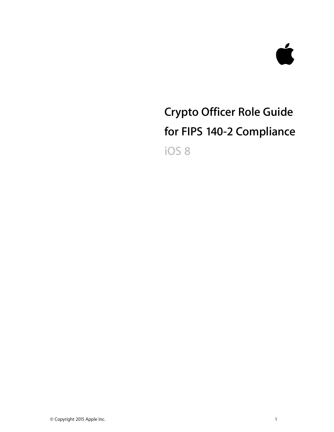

# **Crypto Officer Role Guide for FIPS 140-2 Compliance iOS 8**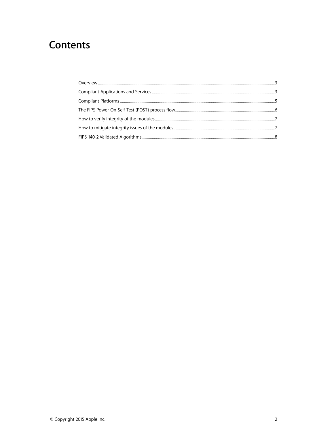# **Contents**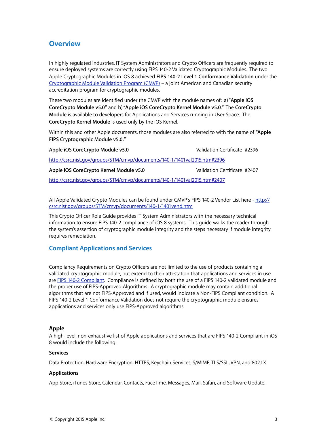# **Overview**

In highly regulated industries, IT System Administrators and Crypto Officers are frequently required to ensure deployed systems are correctly using FIPS 140-2 Validated Cryptographic Modules. The two Apple Cryptographic Modules in iOS 8 achieved **FIPS 140-2 Level 1 Conformance Validation** under the [Cryptographic Module Validation Program \(CMVP\)](http://csrc.nist.gov/groups/STM/cmvp/index.html) – a joint American and Canadian security accreditation program for cryptographic modules.

These two modules are identified under the CMVP with the module names of: a) "**Apple iOS CoreCrypto Module v5.0"** and b) "**Apple iOS CoreCrypto Kernel Module v5.0**." The **CoreCrypto Module** is available to developers for Applications and Services running in User Space. The **CoreCrypto Kernel Module** is used only by the iOS Kernel.

Within this and other Apple documents, those modules are also referred to with the name of **"Apple FIPS Cryptographic Module v5.0."** 

**Apple iOS CoreCrypto Module v5.0** Validation Certificate #2396 <http://csrc.nist.gov/groups/STM/cmvp/documents/140-1/1401val2015.htm#2396>

**Apple iOS CoreCrypto Kernel Module v5.0** Validation Certificate #2407

<http://csrc.nist.gov/groups/STM/cmvp/documents/140-1/1401val2015.htm#2407>

[All Apple Validated Crypto Modules can be found under CMVP's FIPS 140-2 Vendor List here - http://](http://csrc.nist.gov/groups/STM/cmvp/documents/140-1/1401vend.htm) csrc.nist.gov/groups/STM/cmvp/documents/140-1/1401vend.htm

This Crypto Officer Role Guide provides IT System Administrators with the necessary technical information to ensure FIPS 140-2 compliance of iOS 8 systems. This guide walks the reader through the system's assertion of cryptographic module integrity and the steps necessary if module integrity requires remediation.

# **Compliant Applications and Services**

Compliancy Requirements on Crypto Officers are not limited to the use of products containing a validated cryptographic module, but extend to their attestation that applications and services in use are [FIPS 140-2 Compliant.](http://csrc.nist.gov/publications/fips/fips140-2/fips1402.pdf) Compliance is defined by both the use of a FIPS 140-2 validated module and the proper use of FIPS-Approved Algorithms. A cryptographic module may contain additional algorithms that are not FIPS-Approved and if used, would indicate a Non-FIPS Compliant condition. A FIPS 140-2 Level 1 Conformance Validation does not require the cryptographic module ensures applications and services only use FIPS-Approved algorithms.

## **Apple**

A high-level, non-exhaustive list of Apple applications and services that are FIPS 140-2 Compliant in iOS 8 would include the following:

#### **Services**

Data Protection, Hardware Encryption, HTTPS, Keychain Services, S/MIME, TLS/SSL, VPN, and 802.1X.

## **Applications**

App Store, iTunes Store, Calendar, Contacts, FaceTime, Messages, Mail, Safari, and Software Update.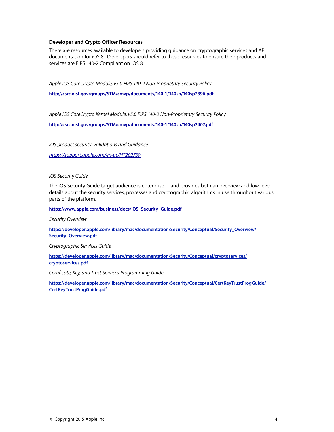#### **Developer and Crypto Officer Resources**

There are resources available to developers providing guidance on cryptographic services and API documentation for iOS 8. Developers should refer to these resources to ensure their products and services are FIPS 140-2 Compliant on iOS 8.

*Apple iOS CoreCrypto Module, v5.0 FIPS 140-2 Non-Proprietary Security Policy* 

**<http://csrc.nist.gov/groups/STM/cmvp/documents/140-1/140sp/140sp2396.pdf>**

*Apple iOS CoreCrypto Kernel Module, v5.0 FIPS 140-2 Non-Proprietary Security Policy* 

**<http://csrc.nist.gov/groups/STM/cmvp/documents/140-1/140sp/140sp2407.pdf>**

*iOS product security: Validations and Guidance <https://support.apple.com/en-us/HT202739>*

*iOS Security Guide*

The iOS Security Guide target audience is enterprise IT and provides both an overview and low-level details about the security services, processes and cryptographic algorithms in use throughout various parts of the platform.

**[https://www.apple.com/business/docs/iOS\\_Security\\_Guide.pdf](https://www.apple.com/business/docs/iOS_Security_Guide.pdf)**

*Security Overview*

**[https://developer.apple.com/library/mac/documentation/Security/Conceptual/Security\\_Overview/](https://developer.apple.com/library/mac/documentation/Security/Conceptual/Security_Overview/Security_Overview.pdf) Security\_Overview.pdf**

*Cryptographic Services Guide* 

**[https://developer.apple.com/library/mac/documentation/Security/Conceptual/cryptoservices/](https://developer.apple.com/library/mac/documentation/Security/Conceptual/cryptoservices/cryptoservices.pdf) cryptoservices.pdf**

*Certificate, Key, and Trust Services Programming Guide* 

**[https://developer.apple.com/library/mac/documentation/Security/Conceptual/CertKeyTrustProgGuide/](https://developer.apple.com/library/mac/documentation/Security/Conceptual/CertKeyTrustProgGuide/CertKeyTrustProgGuide.pdf) CertKeyTrustProgGuide.pd**f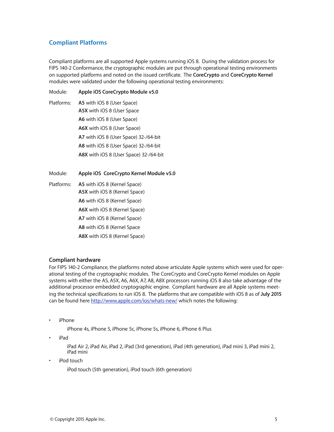# **Compliant Platforms**

Compliant platforms are all supported Apple systems running iOS 8. During the validation process for FIPS 140-2 Conformance, the cryptographic modules are put through operational testing environments on supported platforms and noted on the issued certificate. The **CoreCrypto** and **CoreCrypto Kernel** modules were validated under the following operational testing environments:

Module: **Apple iOS CoreCrypto Module v5.0** 

Platforms: **A5** with iOS 8 (User Space) **A5X** with iOS 8 (User Space **A6** with iOS 8 (User Space) **A6X** with iOS 8 (User Space) **A7** with iOS 8 (User Space) 32-/64-bit **A8** with iOS 8 (User Space) 32-/64-bit **A8X** with iOS 8 (User Space) 32-/64-bit

Module: **Apple iOS CoreCrypto Kernel Module v5.0** 

Platforms: **A5** with iOS 8 (Kernel Space) **A5X** with iOS 8 (Kernel Space) **A6** with iOS 8 (Kernel Space) **A6X** with iOS 8 (Kernel Space) **A7** with iOS 8 (Kernel Space) **A8** with iOS 8 (Kernel Space **A8X** with iOS 8 (Kernel Space)

## **Compliant hardware**

For FIPS 140-2 Compliance, the platforms noted above articulate Apple systems which were used for operational testing of the cryptographic modules. The CoreCrypto and CoreCrypto Kernel modules on Apple systems with either the A5, A5X, A6, A6X, A7, A8, A8X processors running iOS 8 also take advantage of the additional processor embedded cryptographic engine. Compliant hardware are all Apple systems meeting the technical specifications to run iOS 8. The platforms that are compatible with iOS 8 as of **July 2015** can be found here <http://www.apple.com/ios/whats-new/> which notes the following:

• iPhone

iPhone 4s, iPhone 5, iPhone 5c, iPhone 5s, iPhone 6, iPhone 6 Plus

• iPad

iPad Air 2, iPad Air, iPad 2, iPad (3rd generation), iPad (4th generation), iPad mini 3, iPad mini 2, iPad mini

iPod touch

iPod touch (5th generation), iPod touch (6th generation)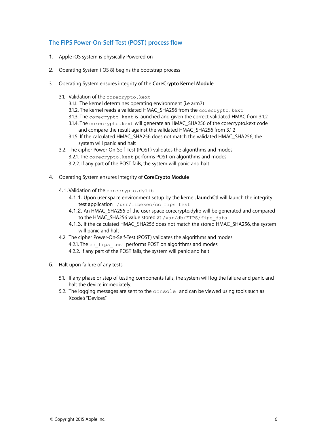# **The FIPS Power-On-Self-Test (POST) process flow**

- 1. Apple iOS system is physically Powered on
- 2. Operating System (iOS 8) begins the bootstrap process
- 3. Operating System ensures integrity of the **CoreCrypto Kernel Module**
	- 3.1. Validation of the corecrypto.kext
		- 3.1.1. The kernel determines operating environment (i.e arm7)
		- 3.1.2. The kernel reads a validated HMAC\_SHA256 from the corecrypto. kext
		- 3.1.3. The corecrypto. kext is launched and given the correct validated HMAC from 3.1.2
		- 3.1.4. The corecrypto. kext will generate an HMAC\_SHA256 of the corecrypto.kext code and compare the result against the validated HMAC\_SHA256 from 3.1.2
		- 3.1.5. If the calculated HMAC\_SHA256 does not match the validated HMAC\_SHA256, the system will panic and halt
	- 3.2. The cipher Power-On-Self-Test (POST) validates the algorithms and modes 3.2.1. The corecrypto. kext performs POST on algorithms and modes 3.2.2. If any part of the POST fails, the system will panic and halt
- 4. Operating System ensures Integrity of **CoreCrypto Module**
	- 4.1.Validation of the corecrypto.dylib
		- 4.1.1. Upon user space environment setup by the kernel, **launchCtl** will launch the integrity test application /usr/libexec/cc\_fips\_test
		- 4.1.2. An HMAC\_SHA256 of the user space corecrypto.dylib will be generated and compared to the HMAC\_SHA256 value stored at /var/db/FIPS/fips\_data
		- 4.1.3. If the calculated HMAC\_SHA256 does not match the stored HMAC\_SHA256, the system will panic and halt
	- 4.2. The cipher Power-On-Self-Test (POST) validates the algorithms and modes

4.2.1. The cc\_fips\_test performs POST on algorithms and modes 4.2.2. If any part of the POST fails, the system will panic and halt

- 5. Halt upon failure of any tests
	- 5.1. If any phase or step of testing components fails, the system will log the failure and panic and halt the device immediately.
	- 5.2. The logging messages are sent to the console and can be viewed using tools such as Xcode's "Devices".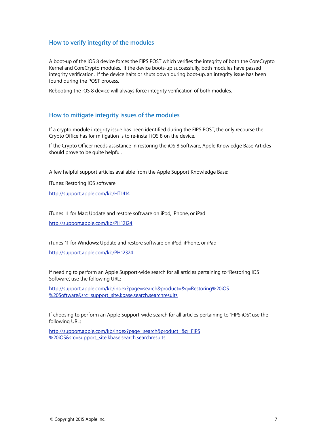# **How to verify integrity of the modules**

A boot-up of the iOS 8 device forces the FIPS POST which verifies the integrity of both the CoreCrypto Kernel and CoreCrypto modules. If the device boots-up successfully, both modules have passed integrity verification. If the device halts or shuts down during boot-up, an integrity issue has been found during the POST process.

Rebooting the iOS 8 device will always force integrity verification of both modules.

#### **How to mitigate integrity issues of the modules**

If a crypto module integrity issue has been identified during the FIPS POST, the only recourse the Crypto Office has for mitigation is to re-install iOS 8 on the device.

If the Crypto Officer needs assistance in restoring the iOS 8 Software, Apple Knowledge Base Articles should prove to be quite helpful.

A few helpful support articles available from the Apple Support Knowledge Base:

iTunes: Restoring iOS software

<http://support.apple.com/kb/HT1414>

iTunes 11 for Mac: Update and restore software on iPod, iPhone, or iPad <http://support.apple.com/kb/PH12124>

iTunes 11 for Windows: Update and restore software on iPod, iPhone, or iPad

<http://support.apple.com/kb/PH12324>

If needing to perform an Apple Support-wide search for all articles pertaining to "Restoring iOS Software", use the following URL:

[http://support.apple.com/kb/index?page=search&product=&q=Restoring%20iOS](http://support.apple.com/kb/index?page=search&product=&q=Restoring%20iOS%20Software&src=support_site.kbase.search.searchresults) %20Software&src=support\_site.kbase.search.searchresults

If choosing to perform an Apple Support-wide search for all articles pertaining to "FIPS iOS", use the following URL:

[http://support.apple.com/kb/index?page=search&product=&q=FIPS](http://support.apple.com/kb/index?page=search&product=&q=FIPS%20iOS&src=support_site.kbase.search.searchresults) %20iOS&src=support\_site.kbase.search.searchresults